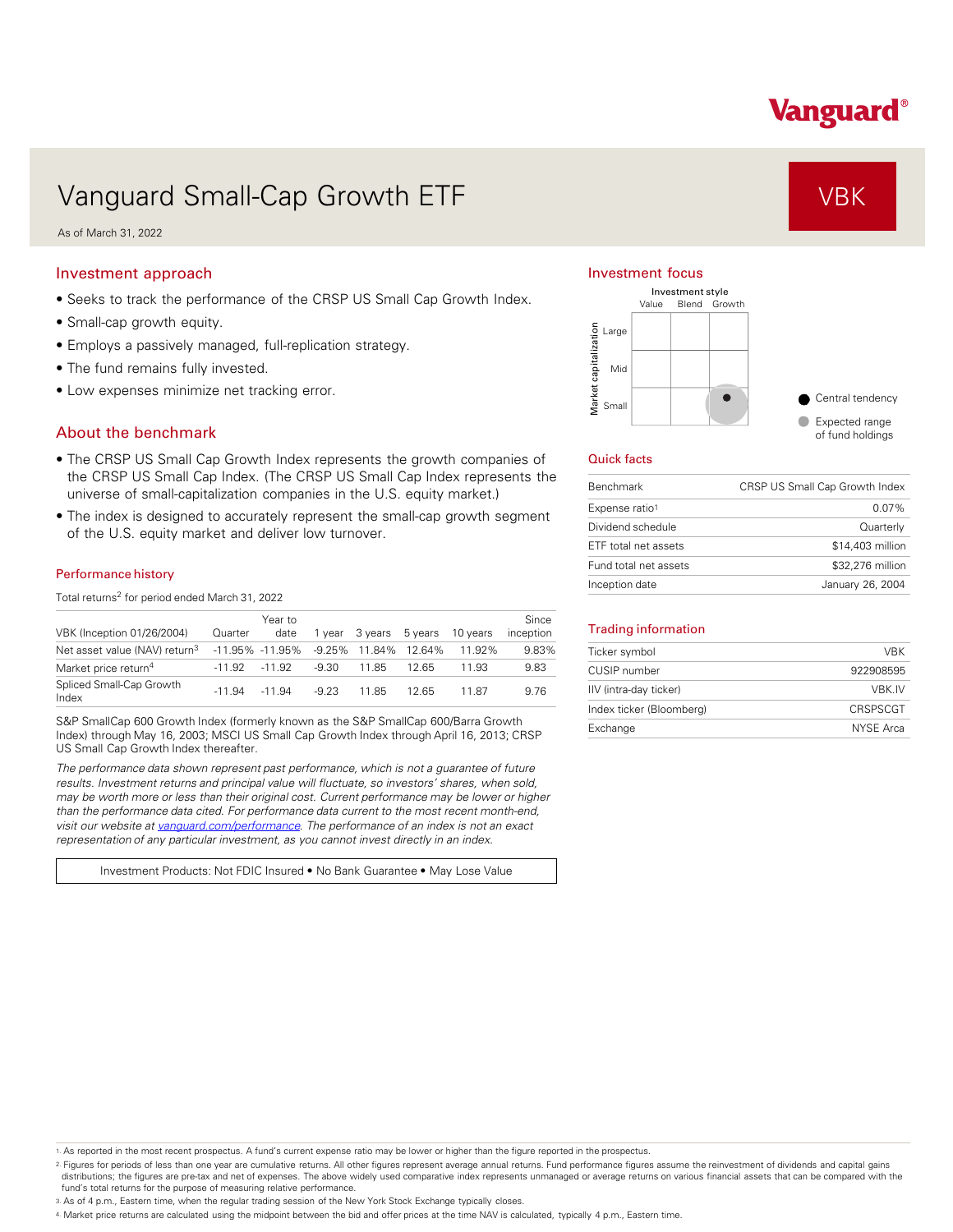# Vanguard®

## Vanguard Small-Cap Growth ETF VBK

As of March 31, 2022

### Investment approach

- Seeks to track the performance of the CRSP US Small Cap Growth Index.
- Small-cap growth equity.
- Employs a passively managed, full-replication strategy.
- The fund remains fully invested.
- Low expenses minimize net tracking error.

## About the benchmark

- The CRSP US Small Cap Growth Index represents the growth companies of the CRSP US Small Cap Index. (The CRSP US Small Cap Index represents the universe of small-capitalization companies in the U.S. equity market.)
- The index is designed to accurately represent the small-cap growth segment of the U.S. equity market and deliver low turnover.

#### Performance history

Total returns<sup>2</sup> for period ended March 31, 2022

| VBK (Inception 01/26/2004)                | Quarter  | Year to<br>date     | 1 vear   | 3 vears | 5 years | 10 years | Since<br>inception |
|-------------------------------------------|----------|---------------------|----------|---------|---------|----------|--------------------|
| Net asset value (NAV) return <sup>3</sup> |          | $-11.95\% -11.95\%$ | $-9.25%$ | 11.84%  | 12 64%  | 11.92%   | 9.83%              |
| Market price return <sup>4</sup>          | $-11.92$ | $-11.92$            | -9.30    | 11.85   | 12.65   | 11 93    | 9.83               |
| Spliced Small-Cap Growth<br>Index         | $-11.94$ | $-11.94$            | $-9.23$  | 1185    | 12.65   | 1187     | 9.76               |

S&P SmallCap 600 Growth Index (formerly known as the S&P SmallCap 600/Barra Growth Index) through May 16, 2003; MSCI US Small Cap Growth Index through April 16, 2013; CRSP US Small Cap Growth Index thereafter.

*The performance data shown represent past performance, which is not a guarantee of future results. Investment returns and principal value will fluctuate, so investors' shares, when sold, may be worth more or less than their original cost. Current performance may be lower or higher than the performance data cited. For performance data current to the most recent month-end, visit our website at [vanguard.com/performance .](http://www.vanguard.com/performance) The performance of an index is not an exact representation of any particular investment, as you cannot invest directly in an index.* 

Investment Products: Not FDIC Insured • No Bank Guarantee • May Lose Value

### Investment focus



#### Quick facts

| <b>Benchmark</b>      | CRSP US Small Cap Growth Index |
|-----------------------|--------------------------------|
| Expense ratio1        | $0.07\%$                       |
| Dividend schedule     | Quarterly                      |
| ETF total net assets  | \$14,403 million               |
| Fund total net assets | \$32,276 million               |
| Inception date        | January 26, 2004               |

#### Trading information

| Ticker symbol            | <b>VRK</b> |
|--------------------------|------------|
| CUSIP number             | 922908595  |
| IIV (intra-day ticker)   | VBK.IV     |
| Index ticker (Bloomberg) | CRSPSCGT   |
| Exchange                 | NYSE Arca  |

1. As reported in the most recent prospectus. A fund's current expense ratio may be lower or higher than the figure reported in the prospectus.

2. Figures for periods of less than one year are cumulative returns. All other figures represent average annual returns. Fund performance figures assume the reinvestment of dividends and capital gains distributions; the figures are pre-tax and net of expenses. The above widely used comparative index represents unmanaged or average returns on various financial assets that can be compared with the fund's total returns for the purpose of measuring relative performance.

3. As of 4 p.m., Eastern time, when the regular trading session of the New York Stock Exchange typically closes.

4. Market price returns are calculated using the midpoint between the bid and offer prices at the time NAV is calculated, typically 4 p.m., Eastern time.